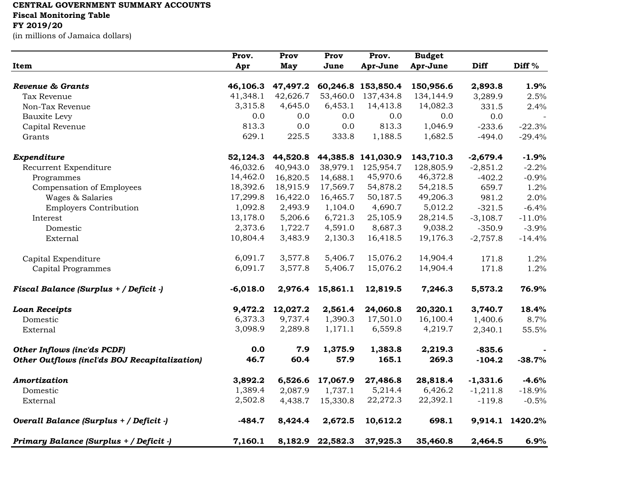## **CENTRAL GOVERNMENT SUMMARY ACCOUNTS**

**Fiscal Monitoring Table**

## **FY 2019/20**

(in millions of Jamaica dollars)

|                                               | Prov.      | Prov     | Prov     | Prov.              | <b>Budget</b> |            |                   |
|-----------------------------------------------|------------|----------|----------|--------------------|---------------|------------|-------------------|
| Item                                          | Apr        | May      | June     | Apr-June           | Apr-June      | Diff       | Diff <sup>%</sup> |
| Revenue & Grants                              | 46,106.3   | 47,497.2 |          | 60,246.8 153,850.4 | 150,956.6     | 2,893.8    | 1.9%              |
| Tax Revenue                                   | 41,348.1   | 42,626.7 | 53,460.0 | 137,434.8          | 134,144.9     | 3,289.9    | 2.5%              |
| Non-Tax Revenue                               | 3,315.8    | 4,645.0  | 6,453.1  | 14,413.8           | 14,082.3      | 331.5      | 2.4%              |
| Bauxite Levy                                  | 0.0        | 0.0      | 0.0      | 0.0                | 0.0           | 0.0        |                   |
| Capital Revenue                               | 813.3      | 0.0      | 0.0      | 813.3              | 1,046.9       | $-233.6$   | $-22.3%$          |
| Grants                                        | 629.1      | 225.5    | 333.8    | 1,188.5            | 1,682.5       | $-494.0$   | $-29.4%$          |
| Expenditure                                   | 52,124.3   | 44,520.8 |          | 44,385.8 141,030.9 | 143,710.3     | $-2,679.4$ | $-1.9%$           |
| Recurrent Expenditure                         | 46,032.6   | 40,943.0 | 38,979.1 | 125,954.7          | 128,805.9     | $-2,851.2$ | $-2.2%$           |
| Programmes                                    | 14,462.0   | 16,820.5 | 14,688.1 | 45,970.6           | 46,372.8      | $-402.2$   | $-0.9%$           |
| Compensation of Employees                     | 18,392.6   | 18,915.9 | 17,569.7 | 54,878.2           | 54,218.5      | 659.7      | 1.2%              |
| Wages & Salaries                              | 17,299.8   | 16,422.0 | 16,465.7 | 50,187.5           | 49,206.3      | 981.2      | 2.0%              |
| <b>Employers Contribution</b>                 | 1,092.8    | 2,493.9  | 1,104.0  | 4,690.7            | 5,012.2       | $-321.5$   | $-6.4%$           |
| Interest                                      | 13,178.0   | 5,206.6  | 6,721.3  | 25,105.9           | 28,214.5      | $-3,108.7$ | $-11.0%$          |
| Domestic                                      | 2,373.6    | 1,722.7  | 4,591.0  | 8,687.3            | 9,038.2       | $-350.9$   | $-3.9%$           |
| External                                      | 10,804.4   | 3,483.9  | 2,130.3  | 16,418.5           | 19,176.3      | $-2,757.8$ | $-14.4%$          |
| Capital Expenditure                           | 6,091.7    | 3,577.8  | 5,406.7  | 15,076.2           | 14,904.4      | 171.8      | 1.2%              |
| Capital Programmes                            | 6,091.7    | 3,577.8  | 5,406.7  | 15,076.2           | 14,904.4      | 171.8      | 1.2%              |
| Fiscal Balance (Surplus + / Deficit -)        | $-6,018.0$ | 2,976.4  | 15,861.1 | 12,819.5           | 7,246.3       | 5,573.2    | 76.9%             |
| <b>Loan Receipts</b>                          | 9,472.2    | 12,027.2 | 2,561.4  | 24,060.8           | 20,320.1      | 3,740.7    | 18.4%             |
| Domestic                                      | 6,373.3    | 9,737.4  | 1,390.3  | 17,501.0           | 16,100.4      | 1,400.6    | 8.7%              |
| External                                      | 3,098.9    | 2,289.8  | 1,171.1  | 6,559.8            | 4,219.7       | 2,340.1    | 55.5%             |
| <b>Other Inflows (inc'ds PCDF)</b>            | 0.0        | 7.9      | 1,375.9  | 1,383.8            | 2,219.3       | $-835.6$   |                   |
| Other Outflows (incl'ds BOJ Recapitalization) | 46.7       | 60.4     | 57.9     | 165.1              | 269.3         | $-104.2$   | $-38.7%$          |
| Amortization                                  | 3,892.2    | 6,526.6  | 17,067.9 | 27,486.8           | 28,818.4      | $-1,331.6$ | $-4.6%$           |
| Domestic                                      | 1,389.4    | 2,087.9  | 1,737.1  | 5,214.4            | 6,426.2       | $-1,211.8$ | $-18.9%$          |
| External                                      | 2,502.8    | 4,438.7  | 15,330.8 | 22,272.3           | 22,392.1      | $-119.8$   | $-0.5%$           |
| Overall Balance (Surplus + / Deficit -)       | $-484.7$   | 8,424.4  | 2,672.5  | 10,612.2           | 698.1         |            | 9,914.1 1420.2%   |
| Primary Balance (Surplus + / Deficit -)       | 7,160.1    | 8,182.9  | 22,582.3 | 37,925.3           | 35,460.8      | 2,464.5    | 6.9%              |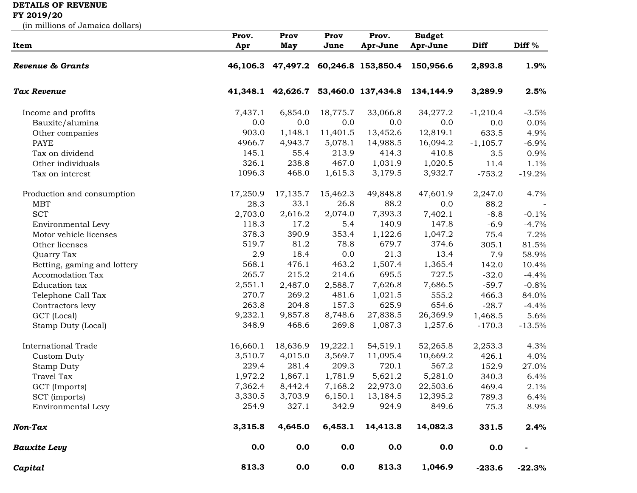## **DETAILS OF REVENUE**

## **FY 2019/20**

(in millions of Jamaica dollars)

|                             | Prov.    | Prov     | Prov     | Prov.                                | <b>Budget</b> |            |                   |
|-----------------------------|----------|----------|----------|--------------------------------------|---------------|------------|-------------------|
| Item                        | Apr      | May      | June     | Apr-June                             | Apr-June      | Diff       | Diff <sup>%</sup> |
| <b>Revenue &amp; Grants</b> |          |          |          | 46,106.3 47,497.2 60,246.8 153,850.4 | 150,956.6     | 2,893.8    | 1.9%              |
| Tax Revenue                 | 41,348.1 | 42,626.7 |          | 53,460.0 137,434.8                   | 134,144.9     | 3,289.9    | 2.5%              |
| Income and profits          | 7,437.1  | 6,854.0  | 18,775.7 | 33,066.8                             | 34,277.2      | $-1,210.4$ | $-3.5%$           |
| Bauxite/alumina             | 0.0      | 0.0      | 0.0      | 0.0                                  | 0.0           | 0.0        | $0.0\%$           |
| Other companies             | 903.0    | 1,148.1  | 11,401.5 | 13,452.6                             | 12,819.1      | 633.5      | 4.9%              |
| <b>PAYE</b>                 | 4966.7   | 4,943.7  | 5,078.1  | 14,988.5                             | 16,094.2      | $-1,105.7$ | $-6.9%$           |
| Tax on dividend             | 145.1    | 55.4     | 213.9    | 414.3                                | 410.8         | 3.5        | 0.9%              |
| Other individuals           | 326.1    | 238.8    | 467.0    | 1,031.9                              | 1,020.5       | 11.4       | 1.1%              |
| Tax on interest             | 1096.3   | 468.0    | 1,615.3  | 3,179.5                              | 3,932.7       | $-753.2$   | $-19.2%$          |
| Production and consumption  | 17,250.9 | 17,135.7 | 15,462.3 | 49,848.8                             | 47,601.9      | 2,247.0    | 4.7%              |
| <b>MBT</b>                  | 28.3     | 33.1     | 26.8     | 88.2                                 | 0.0           | 88.2       |                   |
| <b>SCT</b>                  | 2,703.0  | 2,616.2  | 2,074.0  | 7,393.3                              | 7,402.1       | $-8.8$     | $-0.1%$           |
| Environmental Levy          | 118.3    | 17.2     | 5.4      | 140.9                                | 147.8         | $-6.9$     | $-4.7%$           |
| Motor vehicle licenses      | 378.3    | 390.9    | 353.4    | 1,122.6                              | 1,047.2       | 75.4       | 7.2%              |
| Other licenses              | 519.7    | 81.2     | 78.8     | 679.7                                | 374.6         | 305.1      | 81.5%             |
| Quarry Tax                  | 2.9      | 18.4     | 0.0      | 21.3                                 | 13.4          | 7.9        | 58.9%             |
| Betting, gaming and lottery | 568.1    | 476.1    | 463.2    | 1,507.4                              | 1,365.4       | 142.0      | 10.4%             |
| Accomodation Tax            | 265.7    | 215.2    | 214.6    | 695.5                                | 727.5         | $-32.0$    | $-4.4%$           |
| Education tax               | 2,551.1  | 2,487.0  | 2,588.7  | 7,626.8                              | 7,686.5       | $-59.7$    | $-0.8%$           |
| Telephone Call Tax          | 270.7    | 269.2    | 481.6    | 1,021.5                              | 555.2         | 466.3      | 84.0%             |
| Contractors levy            | 263.8    | 204.8    | 157.3    | 625.9                                | 654.6         | $-28.7$    | $-4.4%$           |
| GCT (Local)                 | 9,232.1  | 9,857.8  | 8,748.6  | 27,838.5                             | 26,369.9      | 1,468.5    | 5.6%              |
| Stamp Duty (Local)          | 348.9    | 468.6    | 269.8    | 1,087.3                              | 1,257.6       | $-170.3$   | $-13.5%$          |
| <b>International Trade</b>  | 16,660.1 | 18,636.9 | 19,222.1 | 54,519.1                             | 52,265.8      | 2,253.3    | 4.3%              |
| Custom Duty                 | 3,510.7  | 4,015.0  | 3,569.7  | 11,095.4                             | 10,669.2      | 426.1      | 4.0%              |
| <b>Stamp Duty</b>           | 229.4    | 281.4    | 209.3    | 720.1                                | 567.2         | 152.9      | 27.0%             |
| <b>Travel Tax</b>           | 1,972.2  | 1,867.1  | 1,781.9  | 5,621.2                              | 5,281.0       | 340.3      | 6.4%              |
| GCT (Imports)               | 7,362.4  | 8,442.4  | 7,168.2  | 22,973.0                             | 22,503.6      | 469.4      | 2.1%              |
| SCT (imports)               | 3,330.5  | 3,703.9  | 6,150.1  | 13,184.5                             | 12,395.2      | 789.3      | 6.4%              |
| Environmental Levy          | 254.9    | 327.1    | 342.9    | 924.9                                | 849.6         | 75.3       | 8.9%              |
| Non-Tax                     | 3,315.8  | 4,645.0  | 6,453.1  | 14,413.8                             | 14,082.3      | 331.5      | 2.4%              |
| <b>Bauxite Levy</b>         | 0.0      | 0.0      | 0.0      | 0.0                                  | 0.0           | 0.0        |                   |
| Capital                     | 813.3    | 0.0      | 0.0      | 813.3                                | 1,046.9       | $-233.6$   | $-22.3%$          |